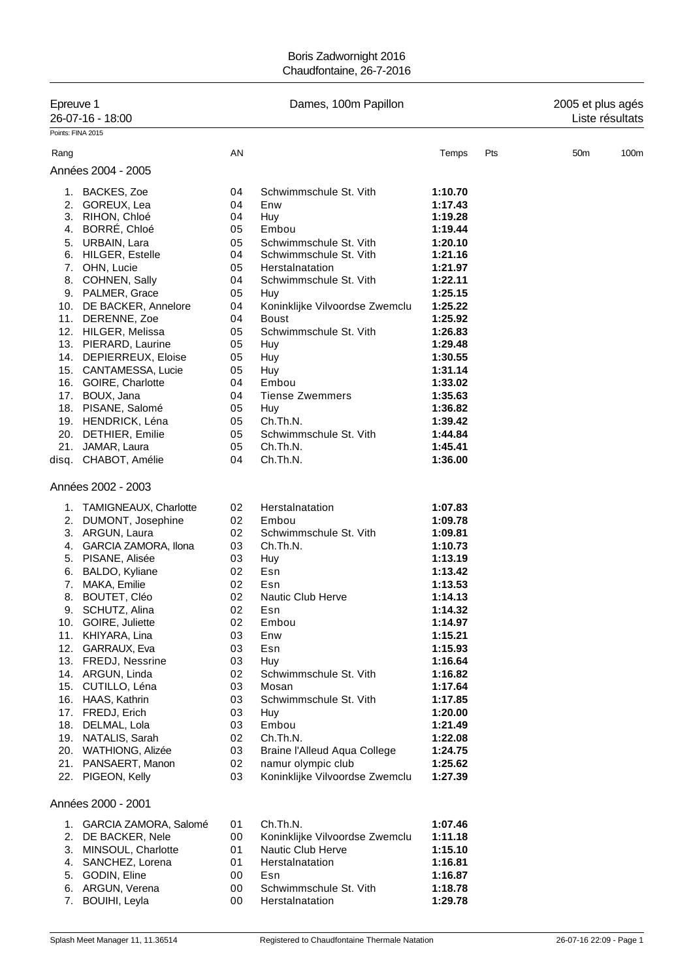| Epreuve 1<br>26-07-16 - 18:00<br>Points: FINA 2015 |                                                                                                                                                                                                                                                                                                                                                                                                                                                                              |                                                                                                                                  | Dames, 100m Papillon                                                                                                                                                                                                                                                                                                                               | 2005 et plus agés<br>Liste résultats                                                                                                                                                                                                           |     |                 |      |
|----------------------------------------------------|------------------------------------------------------------------------------------------------------------------------------------------------------------------------------------------------------------------------------------------------------------------------------------------------------------------------------------------------------------------------------------------------------------------------------------------------------------------------------|----------------------------------------------------------------------------------------------------------------------------------|----------------------------------------------------------------------------------------------------------------------------------------------------------------------------------------------------------------------------------------------------------------------------------------------------------------------------------------------------|------------------------------------------------------------------------------------------------------------------------------------------------------------------------------------------------------------------------------------------------|-----|-----------------|------|
| Rang                                               |                                                                                                                                                                                                                                                                                                                                                                                                                                                                              | AN                                                                                                                               |                                                                                                                                                                                                                                                                                                                                                    | Temps                                                                                                                                                                                                                                          | Pts | 50 <sub>m</sub> | 100m |
|                                                    | Années 2004 - 2005                                                                                                                                                                                                                                                                                                                                                                                                                                                           |                                                                                                                                  |                                                                                                                                                                                                                                                                                                                                                    |                                                                                                                                                                                                                                                |     |                 |      |
| 1.<br>4.<br>5.<br>6.<br>21.                        | BACKES, Zoe<br>2. GOREUX, Lea<br>3. RIHON, Chloé<br>BORRE, Chloé<br>URBAIN, Lara<br><b>HILGER, Estelle</b><br>7. OHN, Lucie<br>8. COHNEN, Sally<br>9. PALMER, Grace<br>10. DE BACKER, Annelore<br>11. DERENNE, Zoe<br>12. HILGER, Melissa<br>13. PIERARD, Laurine<br>14. DEPIERREUX, Eloise<br>15. CANTAMESSA, Lucie<br>16. GOIRE, Charlotte<br>17. BOUX, Jana<br>18. PISANE, Salomé<br>19. HENDRICK, Léna<br>20. DETHIER, Emilie<br>JAMAR, Laura                            | 04<br>04<br>04<br>05<br>05<br>04<br>05<br>04<br>05<br>04<br>04<br>05<br>05<br>05<br>05<br>04<br>04<br>05<br>05<br>05<br>05       | Schwimmschule St. Vith<br>Enw<br>Huy<br>Embou<br>Schwimmschule St. Vith<br>Schwimmschule St. Vith<br>Herstalnatation<br>Schwimmschule St. Vith<br>Huy<br>Koninklijke Vilvoordse Zwemclu<br><b>Boust</b><br>Schwimmschule St. Vith<br>Huy<br>Huy<br>Huy<br>Embou<br><b>Tiense Zwemmers</b><br>Huy<br>Ch.Th.N.<br>Schwimmschule St. Vith<br>Ch.Th.N. | 1:10.70<br>1:17.43<br>1:19.28<br>1:19.44<br>1:20.10<br>1:21.16<br>1:21.97<br>1:22.11<br>1:25.15<br>1:25.22<br>1:25.92<br>1:26.83<br>1:29.48<br>1:30.55<br>1:31.14<br>1:33.02<br>1:35.63<br>1:36.82<br>1:39.42<br>1:44.84<br>1:45.41            |     |                 |      |
| disq.                                              | CHABOT, Amélie                                                                                                                                                                                                                                                                                                                                                                                                                                                               | 04                                                                                                                               | Ch.Th.N.                                                                                                                                                                                                                                                                                                                                           | 1:36.00                                                                                                                                                                                                                                        |     |                 |      |
|                                                    | Années 2002 - 2003                                                                                                                                                                                                                                                                                                                                                                                                                                                           |                                                                                                                                  |                                                                                                                                                                                                                                                                                                                                                    |                                                                                                                                                                                                                                                |     |                 |      |
| 6.<br>7.<br>8.<br>9.<br>11.<br>18.                 | 1. TAMIGNEAUX, Charlotte<br>2. DUMONT, Josephine<br>3. ARGUN, Laura<br>4. GARCIA ZAMORA, Ilona<br>5. PISANE, Alisée<br>BALDO, Kyliane<br>MAKA, Emilie<br><b>BOUTET, Cléo</b><br>SCHUTZ, Alina<br>10. GOIRE, Juliette<br>KHIYARA, Lina<br>12. GARRAUX, Eva<br>13. FREDJ, Nessrine<br>14. ARGUN, Linda<br>15. CUTILLO, Léna<br>16. HAAS, Kathrin<br>17. FREDJ, Erich<br>DELMAL, Lola<br>19. NATALIS, Sarah<br>20. WATHIONG, Alizée<br>21. PANSAERT, Manon<br>22. PIGEON, Kelly | 02<br>02<br>02<br>03<br>03<br>02<br>02<br>02<br>02<br>02<br>03<br>03<br>03<br>02<br>03<br>03<br>03<br>03<br>02<br>03<br>02<br>03 | Herstalnatation<br>Embou<br>Schwimmschule St. Vith<br>Ch.Th.N.<br>Huy<br>Esn<br>Esn<br><b>Nautic Club Herve</b><br>Esn<br>Embou<br>Enw<br>Esn<br>Huy<br>Schwimmschule St. Vith<br>Mosan<br>Schwimmschule St. Vith<br>Huy<br>Embou<br>Ch.Th.N.<br>Braine l'Alleud Aqua College<br>namur olympic club<br>Koninklijke Vilvoordse Zwemclu              | 1:07.83<br>1:09.78<br>1:09.81<br>1:10.73<br>1:13.19<br>1:13.42<br>1:13.53<br>1:14.13<br>1:14.32<br>1:14.97<br>1:15.21<br>1:15.93<br>1:16.64<br>1:16.82<br>1:17.64<br>1:17.85<br>1:20.00<br>1:21.49<br>1:22.08<br>1:24.75<br>1:25.62<br>1:27.39 |     |                 |      |
|                                                    | Années 2000 - 2001                                                                                                                                                                                                                                                                                                                                                                                                                                                           |                                                                                                                                  |                                                                                                                                                                                                                                                                                                                                                    |                                                                                                                                                                                                                                                |     |                 |      |
| 2.<br>3.<br>4.<br>5.<br>7.                         | 1. GARCIA ZAMORA, Salomé<br>DE BACKER, Nele<br>MINSOUL, Charlotte<br>SANCHEZ, Lorena<br>GODIN, Eline<br>6. ARGUN, Verena<br><b>BOUIHI</b> , Leyla                                                                                                                                                                                                                                                                                                                            | 01<br>00<br>01<br>01<br>00<br>00<br>00                                                                                           | Ch.Th.N.<br>Koninklijke Vilvoordse Zwemclu<br><b>Nautic Club Herve</b><br>Herstalnatation<br>Esn<br>Schwimmschule St. Vith<br>Herstalnatation                                                                                                                                                                                                      | 1:07.46<br>1:11.18<br>1:15.10<br>1:16.81<br>1:16.87<br>1:18.78<br>1:29.78                                                                                                                                                                      |     |                 |      |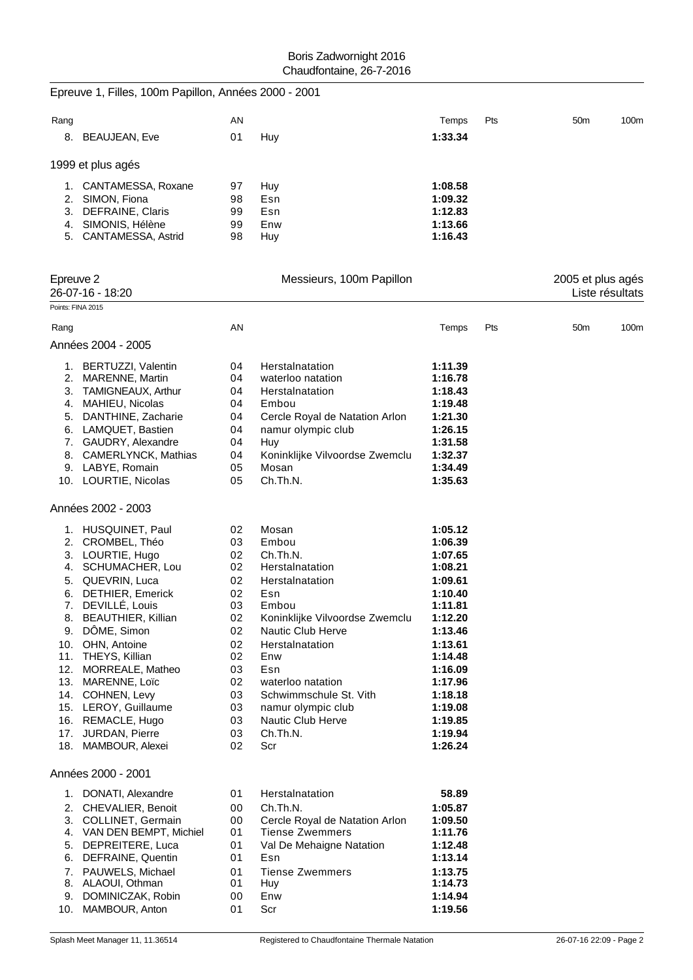|                   | Epreuve 1, Filles, 100m Papillon, Années 2000 - 2001 |          |                                    |                    |     |                   |                 |
|-------------------|------------------------------------------------------|----------|------------------------------------|--------------------|-----|-------------------|-----------------|
| Rang              |                                                      | AN       |                                    | Temps              | Pts | 50 <sub>m</sub>   | 100m            |
|                   | 8. BEAUJEAN, Eve                                     | 01       | Huy                                | 1:33.34            |     |                   |                 |
|                   | 1999 et plus agés                                    |          |                                    |                    |     |                   |                 |
|                   | 1. CANTAMESSA, Roxane                                | 97       | Huy                                | 1:08.58            |     |                   |                 |
|                   | 2. SIMON, Fiona                                      | 98       | Esn                                | 1:09.32            |     |                   |                 |
|                   | 3. DEFRAINE, Claris                                  | 99       | Esn                                | 1:12.83            |     |                   |                 |
|                   | 4. SIMONIS, Hélène<br>5. CANTAMESSA, Astrid          | 99<br>98 | Enw<br>Huy                         | 1:13.66<br>1:16.43 |     |                   |                 |
|                   |                                                      |          |                                    |                    |     |                   |                 |
| Epreuve 2         | 26-07-16 - 18:20                                     |          | Messieurs, 100m Papillon           |                    |     | 2005 et plus agés | Liste résultats |
| Points: FINA 2015 |                                                      |          |                                    |                    |     |                   |                 |
| Rang              |                                                      | AN       |                                    | Temps              | Pts | 50 <sub>m</sub>   | 100m            |
|                   | Années 2004 - 2005                                   |          |                                    |                    |     |                   |                 |
|                   | 1. BERTUZZI, Valentin                                | 04       | Herstalnatation                    | 1:11.39            |     |                   |                 |
|                   | 2. MARENNE, Martin                                   | 04       | waterloo natation                  | 1:16.78            |     |                   |                 |
|                   | 3. TAMIGNEAUX, Arthur                                | 04<br>04 | Herstalnatation<br>Embou           | 1:18.43<br>1:19.48 |     |                   |                 |
| 5.                | 4. MAHIEU, Nicolas<br>DANTHINE, Zacharie             | 04       | Cercle Royal de Natation Arlon     | 1:21.30            |     |                   |                 |
|                   | 6. LAMQUET, Bastien                                  | 04       | namur olympic club                 | 1:26.15            |     |                   |                 |
|                   | 7. GAUDRY, Alexandre                                 | 04       | Huy                                | 1:31.58            |     |                   |                 |
|                   | 8. CAMERLYNCK, Mathias                               | 04       | Koninklijke Vilvoordse Zwemclu     | 1:32.37            |     |                   |                 |
|                   | 9. LABYE, Romain                                     | 05       | Mosan                              | 1:34.49            |     |                   |                 |
|                   | 10. LOURTIE, Nicolas                                 | 05       | Ch.Th.N.                           | 1:35.63            |     |                   |                 |
|                   | Années 2002 - 2003                                   |          |                                    |                    |     |                   |                 |
|                   | 1. HUSQUINET, Paul                                   | 02       | Mosan                              | 1:05.12            |     |                   |                 |
|                   | 2. CROMBEL, Théo                                     | 03       | Embou                              | 1:06.39            |     |                   |                 |
|                   | 3. LOURTIE, Hugo                                     | 02       | Ch.Th.N.                           | 1:07.65            |     |                   |                 |
| 5.                | 4. SCHUMACHER, Lou<br>QUEVRIN, Luca                  | 02<br>02 | Herstalnatation<br>Herstalnatation | 1:08.21<br>1:09.61 |     |                   |                 |
| 6.                | DETHIER, Emerick                                     | 02       | Esn                                | 1:10.40            |     |                   |                 |
| 7.                | DEVILLÉ, Louis                                       | 03       | Embou                              | 1:11.81            |     |                   |                 |
|                   | 8. BEAUTHIER, Killian                                | 02       | Koninklijke Vilvoordse Zwemclu     | 1:12.20            |     |                   |                 |
|                   | 9. DÔME, Simon                                       | 02       | Nautic Club Herve                  | 1:13.46            |     |                   |                 |
|                   | 10. OHN, Antoine<br>11. THEYS, Killian               | 02<br>02 | Herstalnatation<br>Enw             | 1:13.61<br>1:14.48 |     |                   |                 |
|                   | 12. MORREALE, Matheo                                 | 03       | Esn                                | 1:16.09            |     |                   |                 |
|                   | 13. MARENNE, Loïc                                    | 02       | waterloo natation                  | 1:17.96            |     |                   |                 |
|                   | 14. COHNEN, Levy                                     | 03       | Schwimmschule St. Vith             | 1:18.18            |     |                   |                 |
|                   | 15. LEROY, Guillaume                                 | 03       | namur olympic club                 | 1:19.08            |     |                   |                 |
|                   | 16. REMACLE, Hugo                                    | 03       | Nautic Club Herve                  | 1:19.85            |     |                   |                 |
|                   | 17. JURDAN, Pierre<br>18. MAMBOUR, Alexei            | 03<br>02 | Ch.Th.N.<br>Scr                    | 1:19.94<br>1:26.24 |     |                   |                 |
|                   | Années 2000 - 2001                                   |          |                                    |                    |     |                   |                 |
| 1.                | DONATI, Alexandre                                    | 01       | Herstalnatation                    | 58.89              |     |                   |                 |
| 2.                | CHEVALIER, Benoit                                    | 00       | Ch.Th.N.                           | 1:05.87            |     |                   |                 |
|                   | 3. COLLINET, Germain                                 | 00       | Cercle Royal de Natation Arlon     | 1:09.50            |     |                   |                 |
|                   | 4. VAN DEN BEMPT, Michiel                            | 01       | <b>Tiense Zwemmers</b>             | 1:11.76            |     |                   |                 |
| 5.                | DEPREITERE, Luca                                     | 01       | Val De Mehaigne Natation           | 1:12.48            |     |                   |                 |
| 6.                | DEFRAINE, Quentin                                    | 01       | Esn                                | 1:13.14            |     |                   |                 |
| 7.<br>8.          | PAUWELS, Michael<br>ALAOUI, Othman                   | 01<br>01 | <b>Tiense Zwemmers</b><br>Huy      | 1:13.75<br>1:14.73 |     |                   |                 |
| 9.                | DOMINICZAK, Robin                                    | 00       | Enw                                | 1:14.94            |     |                   |                 |
| 10.               | MAMBOUR, Anton                                       | 01       | Scr                                | 1:19.56            |     |                   |                 |
|                   |                                                      |          |                                    |                    |     |                   |                 |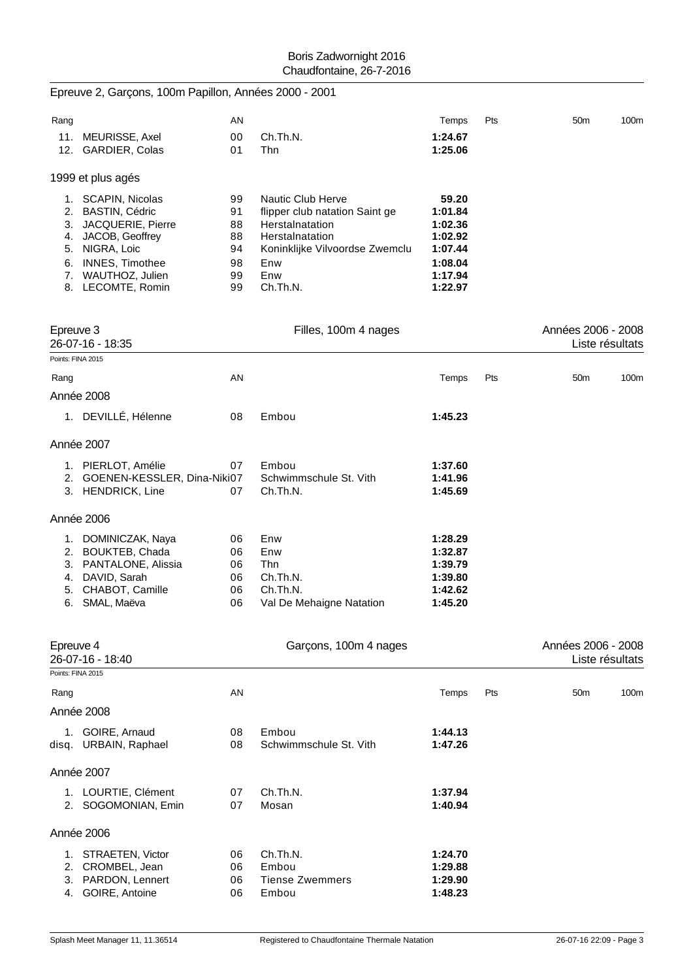|                   | Epreuve 2, Garçons, 100m Papillon, Années 2000 - 2001                                                                                                                    |                                              |                                                                                                                                                       |                                                                                    |     |                    |                 |
|-------------------|--------------------------------------------------------------------------------------------------------------------------------------------------------------------------|----------------------------------------------|-------------------------------------------------------------------------------------------------------------------------------------------------------|------------------------------------------------------------------------------------|-----|--------------------|-----------------|
| Rang              |                                                                                                                                                                          | AN                                           |                                                                                                                                                       | Temps                                                                              | Pts | 50 <sub>m</sub>    | 100m            |
|                   | 11. MEURISSE, Axel<br>12. GARDIER, Colas                                                                                                                                 | 00<br>01                                     | Ch.Th.N.<br>Thn                                                                                                                                       | 1:24.67<br>1:25.06                                                                 |     |                    |                 |
|                   | 1999 et plus agés                                                                                                                                                        |                                              |                                                                                                                                                       |                                                                                    |     |                    |                 |
|                   | 1. SCAPIN, Nicolas<br>2. BASTIN, Cédric<br>3. JACQUERIE, Pierre<br>4. JACOB, Geoffrey<br>5. NIGRA, Loic<br>6. INNES, Timothee<br>7. WAUTHOZ, Julien<br>8. LECOMTE, Romin | 99<br>91<br>88<br>88<br>94<br>98<br>99<br>99 | Nautic Club Herve<br>flipper club natation Saint ge<br>Herstalnatation<br>Herstalnatation<br>Koninklijke Vilvoordse Zwemclu<br>Enw<br>Enw<br>Ch.Th.N. | 59.20<br>1:01.84<br>1:02.36<br>1:02.92<br>1:07.44<br>1:08.04<br>1:17.94<br>1:22.97 |     |                    |                 |
| Epreuve 3         |                                                                                                                                                                          |                                              | Filles, 100m 4 nages                                                                                                                                  |                                                                                    |     | Années 2006 - 2008 |                 |
| Points: FINA 2015 | 26-07-16 - 18:35                                                                                                                                                         |                                              |                                                                                                                                                       |                                                                                    |     |                    | Liste résultats |
| Rang              |                                                                                                                                                                          | AN                                           |                                                                                                                                                       | Temps                                                                              | Pts | 50 <sub>m</sub>    | 100m            |
|                   | Année 2008                                                                                                                                                               |                                              |                                                                                                                                                       |                                                                                    |     |                    |                 |
|                   | 1. DEVILLÉ, Hélenne                                                                                                                                                      | 08                                           | Embou                                                                                                                                                 | 1:45.23                                                                            |     |                    |                 |
|                   | Année 2007                                                                                                                                                               |                                              |                                                                                                                                                       |                                                                                    |     |                    |                 |
|                   | 1. PIERLOT, Amélie<br>2. GOENEN-KESSLER, Dina-Niki07<br>3. HENDRICK, Line                                                                                                | 07<br>07                                     | Embou<br>Schwimmschule St. Vith<br>Ch.Th.N.                                                                                                           | 1:37.60<br>1:41.96<br>1:45.69                                                      |     |                    |                 |
|                   | Année 2006                                                                                                                                                               |                                              |                                                                                                                                                       |                                                                                    |     |                    |                 |
| 4.                | 1. DOMINICZAK, Naya<br>2. BOUKTEB, Chada<br>3. PANTALONE, Alissia<br>DAVID, Sarah<br>5. CHABOT, Camille<br>6. SMAL, Maëva                                                | 06<br>06<br>06<br>06<br>06<br>06             | Enw<br>Enw<br>Thn<br>Ch.Th.N.<br>Ch.Th.N.<br>Val De Mehaigne Natation                                                                                 | 1:28.29<br>1:32.87<br>1:39.79<br>1:39.80<br>1:42.62<br>1:45.20                     |     |                    |                 |
| Epreuve 4         | 26-07-16 - 18:40<br>Points: FINA 2015                                                                                                                                    |                                              | Garçons, 100m 4 nages                                                                                                                                 |                                                                                    |     | Années 2006 - 2008 | Liste résultats |
| Rang              |                                                                                                                                                                          | AN                                           |                                                                                                                                                       | Temps                                                                              | Pts | 50 <sub>m</sub>    | 100m            |
|                   | Année 2008                                                                                                                                                               |                                              |                                                                                                                                                       |                                                                                    |     |                    |                 |
|                   | 1. GOIRE, Arnaud<br>disq. URBAIN, Raphael                                                                                                                                | 08<br>08                                     | Embou<br>Schwimmschule St. Vith                                                                                                                       | 1:44.13<br>1:47.26                                                                 |     |                    |                 |
|                   | Année 2007                                                                                                                                                               |                                              |                                                                                                                                                       |                                                                                    |     |                    |                 |
|                   | 1. LOURTIE, Clément<br>2. SOGOMONIAN, Emin                                                                                                                               | 07<br>07                                     | Ch.Th.N.<br>Mosan                                                                                                                                     | 1:37.94<br>1:40.94                                                                 |     |                    |                 |
|                   | Année 2006                                                                                                                                                               |                                              |                                                                                                                                                       |                                                                                    |     |                    |                 |
|                   | 1. STRAETEN, Victor<br>2. CROMBEL, Jean<br>3. PARDON, Lennert<br>4. GOIRE, Antoine                                                                                       | 06<br>06<br>06<br>06                         | Ch.Th.N.<br>Embou<br><b>Tiense Zwemmers</b><br>Embou                                                                                                  | 1:24.70<br>1:29.88<br>1:29.90<br>1:48.23                                           |     |                    |                 |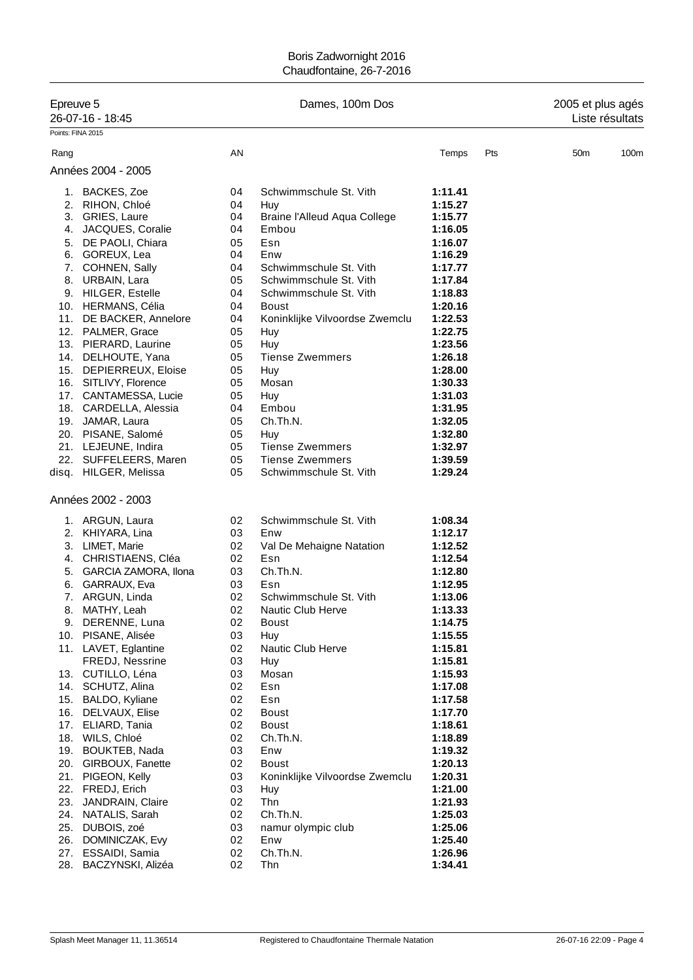| Epreuve 5         |                                       |          | Dames, 100m Dos                | 2005 et plus agés  |     |                 |                 |
|-------------------|---------------------------------------|----------|--------------------------------|--------------------|-----|-----------------|-----------------|
|                   | 26-07-16 - 18:45                      |          |                                |                    |     |                 | Liste résultats |
| Points: FINA 2015 |                                       |          |                                |                    |     |                 |                 |
| Rang              |                                       | AN       |                                | Temps              | Pts | 50 <sub>m</sub> | 100m            |
|                   | Années 2004 - 2005                    |          |                                |                    |     |                 |                 |
|                   | 1. BACKES, Zoe                        | 04       | Schwimmschule St. Vith         | 1:11.41            |     |                 |                 |
|                   | 2. RIHON, Chloé                       | 04       | Huy                            | 1:15.27            |     |                 |                 |
|                   | 3. GRIES, Laure                       | 04       | Braine l'Alleud Aqua College   | 1:15.77            |     |                 |                 |
| 4.                | JACQUES, Coralie                      | 04       | Embou                          | 1:16.05            |     |                 |                 |
|                   | 5. DE PAOLI, Chiara                   | 05       | Esn                            | 1:16.07            |     |                 |                 |
|                   | 6. GOREUX, Lea                        | 04       | Enw                            | 1:16.29            |     |                 |                 |
|                   | 7. COHNEN, Sally                      | 04       | Schwimmschule St. Vith         | 1:17.77            |     |                 |                 |
|                   | 8. URBAIN, Lara                       | 05       | Schwimmschule St. Vith         | 1:17.84            |     |                 |                 |
|                   | 9. HILGER, Estelle                    | 04       | Schwimmschule St. Vith         | 1:18.83            |     |                 |                 |
|                   | 10. HERMANS, Célia                    | 04       | Boust                          | 1:20.16            |     |                 |                 |
|                   | 11. DE BACKER, Annelore               | 04       | Koninklijke Vilvoordse Zwemclu | 1:22.53            |     |                 |                 |
|                   | 12. PALMER, Grace                     | 05       | Huy                            | 1:22.75            |     |                 |                 |
|                   | 13. PIERARD, Laurine                  | 05       | Huy                            | 1:23.56            |     |                 |                 |
|                   | 14. DELHOUTE, Yana                    | 05       | <b>Tiense Zwemmers</b>         | 1:26.18            |     |                 |                 |
|                   | 15. DEPIERREUX, Eloise                | 05       | Huy                            | 1:28.00            |     |                 |                 |
|                   | 16. SITLIVY, Florence                 | 05       | Mosan                          | 1:30.33            |     |                 |                 |
|                   | 17. CANTAMESSA, Lucie                 | 05       | Huy                            | 1:31.03            |     |                 |                 |
|                   | 18. CARDELLA, Alessia                 | 04       | Embou                          | 1:31.95            |     |                 |                 |
|                   | 19. JAMAR, Laura                      | 05       | Ch.Th.N.                       | 1:32.05            |     |                 |                 |
|                   | 20. PISANE, Salomé                    | 05       | Huy                            | 1:32.80            |     |                 |                 |
|                   | 21. LEJEUNE, Indira                   | 05       | <b>Tiense Zwemmers</b>         | 1:32.97            |     |                 |                 |
|                   | 22. SUFFELEERS, Maren                 | 05       | <b>Tiense Zwemmers</b>         | 1:39.59            |     |                 |                 |
|                   | disq. HILGER, Melissa                 | 05       | Schwimmschule St. Vith         | 1:29.24            |     |                 |                 |
|                   | Années 2002 - 2003                    |          |                                |                    |     |                 |                 |
|                   | 1. ARGUN, Laura                       | 02       | Schwimmschule St. Vith         | 1:08.34            |     |                 |                 |
|                   | 2. KHIYARA, Lina                      | 03       | Enw                            | 1:12.17            |     |                 |                 |
|                   | 3. LIMET, Marie                       | 02       | Val De Mehaigne Natation       | 1:12.52            |     |                 |                 |
|                   | 4. CHRISTIAENS, Cléa                  | 02       | Esn                            | 1:12.54            |     |                 |                 |
|                   | 5. GARCIA ZAMORA, Ilona               | 03       | Ch.Th.N.                       | 1:12.80            |     |                 |                 |
|                   | 6. GARRAUX, Eva                       | 03       | Esn                            | 1:12.95            |     |                 |                 |
|                   | 7. ARGUN, Linda                       | 02       | Schwimmschule St. Vith         | 1:13.06            |     |                 |                 |
| 8.                | MATHY, Leah                           | 02       | <b>Nautic Club Herve</b>       | 1:13.33            |     |                 |                 |
|                   | 9. DERENNE, Luna                      | 02       | <b>Boust</b>                   | 1:14.75            |     |                 |                 |
|                   | 10. PISANE, Alisée                    | 03       | Huy                            | 1:15.55            |     |                 |                 |
|                   | 11. LAVET, Eglantine                  | 02       | Nautic Club Herve              | 1:15.81            |     |                 |                 |
|                   | FREDJ, Nessrine                       | 03       | Huy                            | 1:15.81            |     |                 |                 |
|                   | 13. CUTILLO, Léna                     | 03       | Mosan                          | 1:15.93            |     |                 |                 |
|                   | 14. SCHUTZ, Alina                     | 02       | Esn                            | 1:17.08            |     |                 |                 |
| 15.               | BALDO, Kyliane                        | 02       | Esn                            | 1:17.58            |     |                 |                 |
|                   | 16. DELVAUX, Elise                    | 02       | Boust                          | 1:17.70            |     |                 |                 |
|                   | 17. ELIARD, Tania                     | 02       | <b>Boust</b>                   | 1:18.61            |     |                 |                 |
|                   | 18. WILS, Chloé                       | 02       | Ch.Th.N.                       | 1:18.89            |     |                 |                 |
|                   | 19. BOUKTEB, Nada                     | 03       | Enw                            | 1:19.32            |     |                 |                 |
|                   | 20. GIRBOUX, Fanette                  | 02       | <b>Boust</b>                   | 1:20.13            |     |                 |                 |
|                   | 21. PIGEON, Kelly<br>22. FREDJ, Erich | 03<br>03 | Koninklijke Vilvoordse Zwemclu | 1:20.31            |     |                 |                 |
| 23.               | JANDRAIN, Claire                      | 02       | Huy<br>Thn                     | 1:21.00            |     |                 |                 |
|                   | 24. NATALIS, Sarah                    | 02       | Ch.Th.N.                       | 1:21.93<br>1:25.03 |     |                 |                 |
|                   | 25. DUBOIS, zoé                       | 03       | namur olympic club             | 1:25.06            |     |                 |                 |
| 26.               | DOMINICZAK, Evy                       | 02       | Enw                            | 1:25.40            |     |                 |                 |
| 27.               | ESSAIDI, Samia                        | 02       | Ch.Th.N.                       | 1:26.96            |     |                 |                 |
| 28.               | BACZYNSKI, Alizéa                     | 02       | Thn                            | 1:34.41            |     |                 |                 |
|                   |                                       |          |                                |                    |     |                 |                 |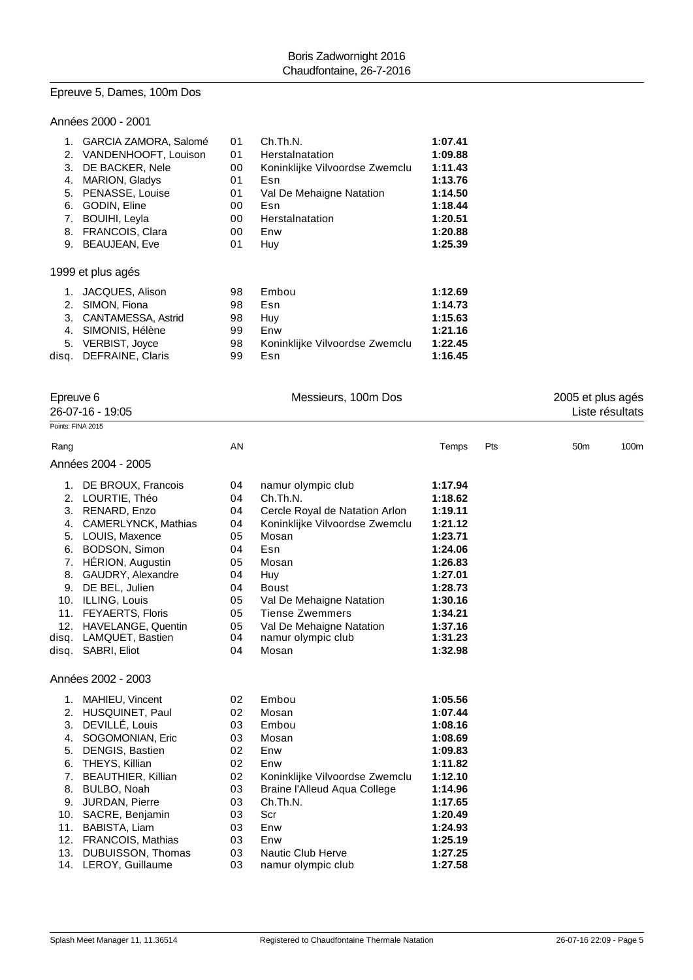# Epreuve 5, Dames, 100m Dos

# Années 2000 - 2001

| 1. GARCIA ZAMORA, Salomé | 01 | Ch.Th.N.                       | 1:07.41 |
|--------------------------|----|--------------------------------|---------|
| VANDENHOOFT, Louison     | 01 | Herstalnatation                | 1:09.88 |
| DE BACKER, Nele          | 00 | Koninklijke Vilvoordse Zwemclu | 1:11.43 |
| MARION, Gladys           | 01 | Esn                            | 1:13.76 |
| PENASSE, Louise          | 01 | Val De Mehaigne Natation       | 1:14.50 |
| GODIN, Eline             | 00 | Esn                            | 1:18.44 |
| <b>BOUIHI, Leyla</b>     | 00 | Herstalnatation                | 1:20.51 |
| <b>FRANCOIS, Clara</b>   | 00 | Enw                            | 1:20.88 |
| <b>BEAUJEAN, Eve</b>     | 01 | Huy                            | 1:25.39 |
| 1999 et plus agés        |    |                                |         |
| JACQUES, Alison<br>1.    | 98 | Embou                          | 1:12.69 |
| SIMON, Fiona             | 98 | Esn                            | 1:14.73 |
| 3. CANTAMESSA, Astrid    | 98 | Huy                            | 1:15.63 |
| SIMONIS, Hélène          | 99 | Enw                            | 1:21.16 |
| VERBIST, Joyce           | 98 | Koninklijke Vilvoordse Zwemclu | 1:22.45 |
| <b>DEFRAINE, Claris</b>  | 99 | Esn                            | 1:16.45 |
|                          |    |                                |         |

| Epreuve 6          |    | Messieurs, 100m Dos |       |     |                         |  |
|--------------------|----|---------------------|-------|-----|-------------------------|--|
| 26-07-16 - 19:05   |    |                     |       |     | Liste résultats         |  |
| Points: FINA 2015  |    |                     |       |     |                         |  |
| Rang               | AN |                     | Temps | Pts | 100m<br>50 <sub>m</sub> |  |
| Années 2004 - 2005 |    |                     |       |     |                         |  |

|       | DE BROUX, Francois          | 04 | namur olympic club             | 1:17.94 |
|-------|-----------------------------|----|--------------------------------|---------|
| 2.    | LOURTIE, Théo               | 04 | Ch.Th.N.                       | 1:18.62 |
| 3.    | RENARD, Enzo                | 04 | Cercle Royal de Natation Arlon | 1:19.11 |
| 4.    | CAMERLYNCK, Mathias         | 04 | Koninklijke Vilvoordse Zwemclu | 1:21.12 |
| 5.    | LOUIS, Maxence              | 05 | Mosan                          | 1:23.71 |
| 6.    | BODSON, Simon               | 04 | Esn                            | 1:24.06 |
| 7.    | HÉRION, Augustin            | 05 | Mosan                          | 1:26.83 |
| 8.    | GAUDRY, Alexandre           | 04 | Huy                            | 1:27.01 |
| 9.    | DE BEL, Julien              | 04 | <b>Boust</b>                   | 1:28.73 |
| 10.   | ILLING, Louis               | 05 | Val De Mehaigne Natation       | 1:30.16 |
| 11.   | FEYAERTS, Floris            | 05 | Tiense Zwemmers                | 1:34.21 |
| 12.   | HAVELANGE, Quentin          | 05 | Val De Mehaigne Natation       | 1:37.16 |
| disq. | LAMQUET, Bastien            | 04 | namur olympic club             | 1:31.23 |
|       | disg. SABRI, Eliot          | 04 | Mosan                          | 1:32.98 |
|       | Années 2002 - 2003          |    |                                |         |
| 1.    | MAHIEU, Vincent             | 02 | Embou                          | 1:05.56 |
| 2.    | HUSQUINET, Paul             | 02 | Mosan                          | 1:07.44 |
| વ     | $DEVIII$ $\dot{F}$ $I$ ouis | n٩ | Emhou                          | 1.0816  |

|    | Z. NUJUUINET, FAUI        | V4 | MUSALL                         | 1.V7.44 |
|----|---------------------------|----|--------------------------------|---------|
|    | 3. DEVILLÉ, Louis         | 03 | Embou                          | 1:08.16 |
| 4. | SOGOMONIAN, Eric          | 03 | Mosan                          | 1:08.69 |
| 5. | DENGIS, Bastien           | 02 | Enw                            | 1:09.83 |
| 6. | THEYS, Killian            | 02 | Enw                            | 1:11.82 |
| 7. | <b>BEAUTHIER, Killian</b> | 02 | Koninklijke Vilvoordse Zwemclu | 1:12.10 |
| 8. | BULBO, Noah               | 03 | Braine l'Alleud Aqua College   | 1:14.96 |
| 9. | JURDAN, Pierre            | 03 | Ch.Th.N.                       | 1:17.65 |
|    | 10. SACRE, Benjamin       | 03 | Scr                            | 1:20.49 |
|    | 11. BABISTA, Liam         | 03 | Enw                            | 1:24.93 |
|    | 12. FRANCOIS, Mathias     | 03 | Enw                            | 1:25.19 |
|    | 13. DUBUISSON, Thomas     | 03 | Nautic Club Herve              | 1:27.25 |
|    | 14. LEROY, Guillaume      | 03 | namur olympic club             | 1:27.58 |
|    |                           |    |                                |         |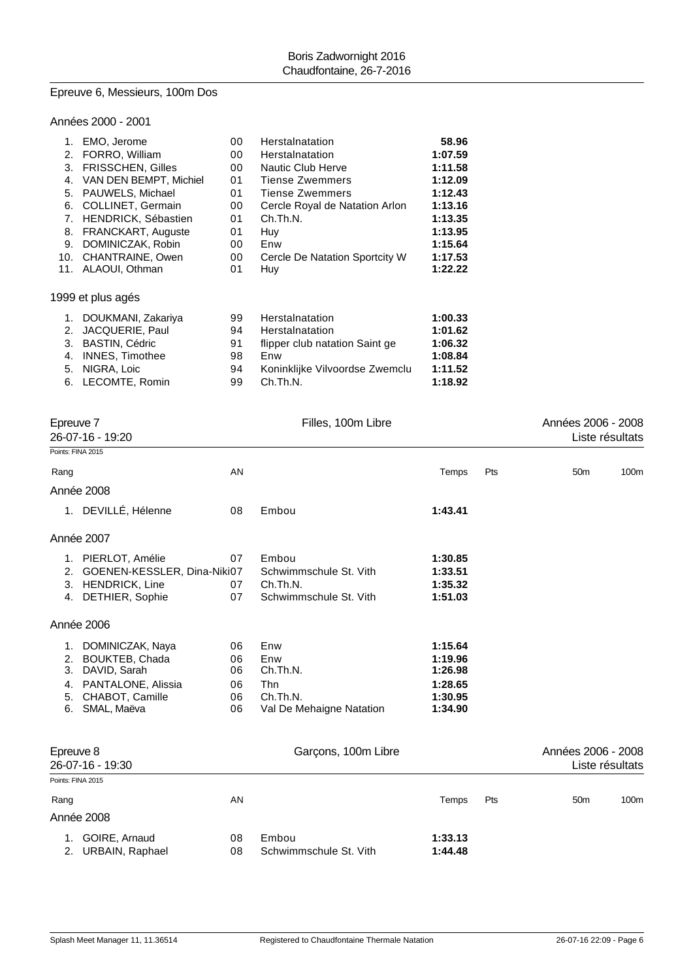## Epreuve 6, Messieurs, 100m Dos

## Années 2000 - 2001

| 1.  | EMO, Jerome                | 00 | Herstalnatation                | 58.96   |
|-----|----------------------------|----|--------------------------------|---------|
| 2.  | FORRO, William             | 00 | Herstalnatation                | 1:07.59 |
| 3.  | FRISSCHEN, Gilles          | 00 | <b>Nautic Club Herve</b>       | 1:11.58 |
| 4.  | VAN DEN BEMPT, Michiel     | 01 | <b>Tiense Zwemmers</b>         | 1:12.09 |
| 5.  | PAUWELS, Michael           | 01 | Tiense Zwemmers                | 1:12.43 |
| 6.  | <b>COLLINET, Germain</b>   | 00 | Cercle Royal de Natation Arlon | 1:13.16 |
| 7.  | <b>HENDRICK, Sébastien</b> | 01 | Ch.Th.N.                       | 1:13.35 |
| 8.  | <b>FRANCKART, Auguste</b>  | 01 | Huy                            | 1:13.95 |
| 9.  | DOMINICZAK, Robin          | 00 | Enw                            | 1:15.64 |
| 10. | CHANTRAINE, Owen           | 00 | Cercle De Natation Sportcity W | 1:17.53 |
| 11. | ALAOUI, Othman             | 01 | Huy                            | 1:22.22 |
|     | 1999 et plus agés          |    |                                |         |
| 1.  | DOUKMANI, Zakariya         | 99 | Herstalnatation                | 1:00.33 |
| 2.  | JACQUERIE, Paul            | 94 | Herstalnatation                | 1:01.62 |
| 3.  | <b>BASTIN, Cédric</b>      | 91 | flipper club natation Saint ge | 1:06.32 |
| 4.  | <b>INNES, Timothee</b>     | 98 | Enw                            | 1:08.84 |
| 5.  | NIGRA, Loic                | 94 | Koninklijke Vilvoordse Zwemclu | 1:11.52 |
| 6.  | LECOMTE, Romin             | 99 | Ch.Th.N.                       | 1:18.92 |

| Epreuve 7<br>26-07-16 - 19:20    |                                                                                                                   |                                  | Filles, 100m Libre                                                           |                                                                |     | Années 2006 - 2008<br>Liste résultats |                 |
|----------------------------------|-------------------------------------------------------------------------------------------------------------------|----------------------------------|------------------------------------------------------------------------------|----------------------------------------------------------------|-----|---------------------------------------|-----------------|
|                                  | Points: FINA 2015                                                                                                 |                                  |                                                                              |                                                                |     |                                       |                 |
| Rang                             |                                                                                                                   | AN                               |                                                                              | Temps                                                          | Pts | 50 <sub>m</sub>                       | 100m            |
|                                  | Année 2008                                                                                                        |                                  |                                                                              |                                                                |     |                                       |                 |
|                                  | 1. DEVILLÉ, Hélenne                                                                                               | 08                               | Embou                                                                        | 1:43.41                                                        |     |                                       |                 |
|                                  | Année 2007                                                                                                        |                                  |                                                                              |                                                                |     |                                       |                 |
| 2.                               | 1. PIERLOT, Amélie<br>GOENEN-KESSLER, Dina-Niki07<br>3. HENDRICK, Line<br>4. DETHIER, Sophie                      | 07<br>07<br>07                   | Embou<br>Schwimmschule St. Vith<br>Ch.Th.N.<br>Schwimmschule St. Vith        | 1:30.85<br>1:33.51<br>1:35.32<br>1:51.03                       |     |                                       |                 |
|                                  | Année 2006                                                                                                        |                                  |                                                                              |                                                                |     |                                       |                 |
| 1.<br>2.<br>3.<br>4.<br>5.<br>6. | DOMINICZAK, Naya<br><b>BOUKTEB, Chada</b><br>DAVID, Sarah<br>PANTALONE, Alissia<br>CHABOT, Camille<br>SMAL, Maëva | 06<br>06<br>06<br>06<br>06<br>06 | Enw<br>Enw<br>Ch.Th.N.<br><b>Thn</b><br>Ch.Th.N.<br>Val De Mehaigne Natation | 1:15.64<br>1:19.96<br>1:26.98<br>1:28.65<br>1:30.95<br>1:34.90 |     |                                       |                 |
| Epreuve 8                        | 26-07-16 - 19:30                                                                                                  |                                  | Garçons, 100m Libre                                                          |                                                                |     | Années 2006 - 2008                    | Liste résultats |
|                                  | Points: FINA 2015                                                                                                 |                                  |                                                                              |                                                                |     |                                       |                 |
| Rang                             | Année 2008                                                                                                        | AN                               |                                                                              | Temps                                                          | Pts | 50 <sub>m</sub>                       | 100m            |

| 1. GOIRE, Arnaud   |       | 08 Embou               | 1:33.13 |
|--------------------|-------|------------------------|---------|
| 2. URBAIN, Raphael | 08. L | Schwimmschule St. Vith | 1:44.48 |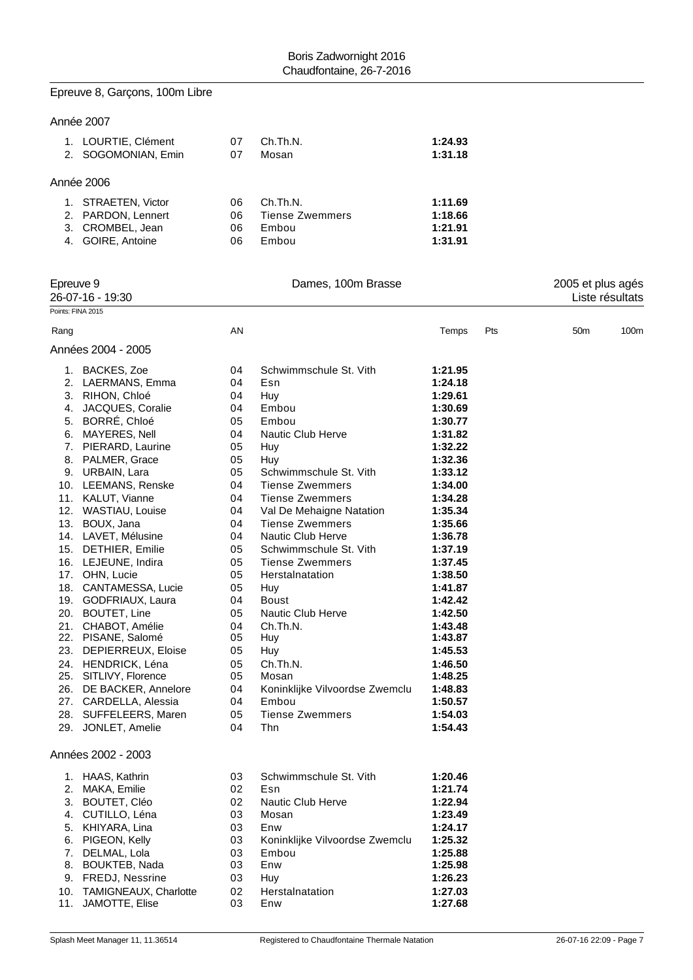# Epreuve 8, Garçons, 100m Libre

# Année 2007

| 1. LOURTIE, Clément | 07 | Ch.Th.N.               | 1:24.93 |
|---------------------|----|------------------------|---------|
| 2. SOGOMONIAN, Emin | 07 | Mosan                  | 1:31.18 |
|                     |    |                        |         |
| Année 2006          |    |                        |         |
|                     |    |                        |         |
| 1. STRAETEN, Victor | 06 | Ch.Th.N.               | 1:11.69 |
| 2. PARDON, Lennert  | 06 | <b>Tiense Zwemmers</b> | 1:18.66 |
| 3. CROMBEL, Jean    | 06 | Embou                  | 1:21.91 |
| 4. GOIRE, Antoine   | 06 | Embou                  | 1:31.91 |
|                     |    |                        |         |

| Epreuve 9<br>26-07-16 - 19:30 |                         | Dames, 100m Brasse |                                |         |     | 2005 et plus agés |                 |  |
|-------------------------------|-------------------------|--------------------|--------------------------------|---------|-----|-------------------|-----------------|--|
|                               |                         |                    |                                |         |     |                   | Liste résultats |  |
|                               | Points: FINA 2015       |                    |                                |         |     |                   |                 |  |
| Rang                          |                         | AN                 |                                | Temps   | Pts | 50 <sub>m</sub>   | 100m            |  |
|                               | Années 2004 - 2005      |                    |                                |         |     |                   |                 |  |
|                               | 1. BACKES, Zoe          | 04                 | Schwimmschule St. Vith         | 1:21.95 |     |                   |                 |  |
|                               | 2. LAERMANS, Emma       | 04                 | Esn                            | 1:24.18 |     |                   |                 |  |
|                               | 3. RIHON, Chloé         | 04                 | Huy                            | 1:29.61 |     |                   |                 |  |
| 4.                            | JACQUES, Coralie        | 04                 | Embou                          | 1:30.69 |     |                   |                 |  |
| 5.                            | BORRÉ, Chloé            | 05                 | Embou                          | 1:30.77 |     |                   |                 |  |
|                               | 6. MAYERES, Nell        | 04                 | <b>Nautic Club Herve</b>       | 1:31.82 |     |                   |                 |  |
|                               | 7. PIERARD, Laurine     | 05                 | Huy                            | 1:32.22 |     |                   |                 |  |
|                               | 8. PALMER, Grace        | 05                 | Huy                            | 1:32.36 |     |                   |                 |  |
|                               | 9. URBAIN, Lara         | 05                 | Schwimmschule St. Vith         | 1:33.12 |     |                   |                 |  |
|                               | 10. LEEMANS, Renske     | 04                 | <b>Tiense Zwemmers</b>         | 1:34.00 |     |                   |                 |  |
|                               | 11. KALUT, Vianne       | 04                 | <b>Tiense Zwemmers</b>         | 1:34.28 |     |                   |                 |  |
|                               | 12. WASTIAU, Louise     | 04                 | Val De Mehaigne Natation       | 1:35.34 |     |                   |                 |  |
|                               | 13. BOUX, Jana          | 04                 | <b>Tiense Zwemmers</b>         | 1:35.66 |     |                   |                 |  |
|                               | 14. LAVET, Mélusine     | 04                 | Nautic Club Herve              | 1:36.78 |     |                   |                 |  |
|                               | 15. DETHIER, Emilie     | 05                 | Schwimmschule St. Vith         | 1:37.19 |     |                   |                 |  |
|                               | 16. LEJEUNE, Indira     | 05                 | <b>Tiense Zwemmers</b>         | 1:37.45 |     |                   |                 |  |
|                               | 17. OHN, Lucie          | 05                 | Herstalnatation                | 1:38.50 |     |                   |                 |  |
|                               | 18. CANTAMESSA, Lucie   | 05                 | Huy                            | 1:41.87 |     |                   |                 |  |
|                               | 19. GODFRIAUX, Laura    | 04                 | <b>Boust</b>                   | 1:42.42 |     |                   |                 |  |
|                               | 20. BOUTET, Line        | 05                 | <b>Nautic Club Herve</b>       | 1:42.50 |     |                   |                 |  |
|                               | 21. CHABOT, Amélie      | 04                 | Ch.Th.N.                       | 1:43.48 |     |                   |                 |  |
|                               | 22. PISANE, Salomé      | 05                 | Huy                            | 1:43.87 |     |                   |                 |  |
|                               | 23. DEPIERREUX, Eloise  | 05                 | Huy                            | 1:45.53 |     |                   |                 |  |
|                               | 24. HENDRICK, Léna      | 05                 | Ch.Th.N.                       | 1:46.50 |     |                   |                 |  |
|                               | 25. SITLIVY, Florence   | 05                 | Mosan                          | 1:48.25 |     |                   |                 |  |
|                               | 26. DE BACKER, Annelore | 04                 | Koninklijke Vilvoordse Zwemclu | 1:48.83 |     |                   |                 |  |
|                               | 27. CARDELLA, Alessia   | 04                 | Embou                          | 1:50.57 |     |                   |                 |  |
|                               | 28. SUFFELEERS, Maren   | 05                 | <b>Tiense Zwemmers</b>         | 1:54.03 |     |                   |                 |  |
|                               | 29. JONLET, Amelie      | 04                 | Thn                            | 1:54.43 |     |                   |                 |  |
|                               | Années 2002 - 2003      |                    |                                |         |     |                   |                 |  |
|                               | 1. HAAS, Kathrin        | 03                 | Schwimmschule St. Vith         | 1:20.46 |     |                   |                 |  |
|                               | 2. MAKA, Emilie         | 02                 | Esn                            | 1:21.74 |     |                   |                 |  |
|                               | 3. BOUTET, Cléo         | 02                 | Nautic Club Herve              | 1:22.94 |     |                   |                 |  |
|                               | 4. CUTILLO, Léna        | 03                 | Mosan                          | 1:23.49 |     |                   |                 |  |
| 5.                            | KHIYARA, Lina           | 03                 | Enw                            | 1:24.17 |     |                   |                 |  |
| 6.                            | PIGEON, Kelly           | 03                 | Koninklijke Vilvoordse Zwemclu | 1:25.32 |     |                   |                 |  |
| 7.                            | DELMAL, Lola            | 03                 | Embou                          | 1:25.88 |     |                   |                 |  |
| 8.                            | <b>BOUKTEB, Nada</b>    | 03                 | Enw                            | 1:25.98 |     |                   |                 |  |
|                               | 9. FREDJ, Nessrine      | 03                 | Huy                            | 1:26.23 |     |                   |                 |  |
| 10.                           | TAMIGNEAUX, Charlotte   | 02                 | Herstalnatation                | 1:27.03 |     |                   |                 |  |
| 11.                           | JAMOTTE, Elise          | 03                 | Enw                            | 1:27.68 |     |                   |                 |  |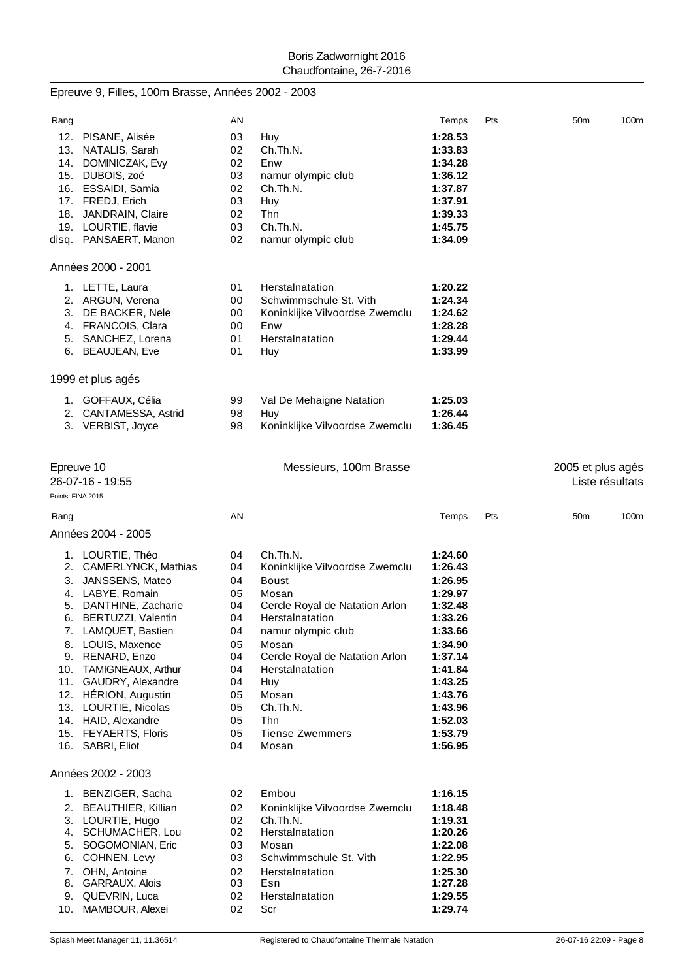# Epreuve 9, Filles, 100m Brasse, Années 2002 - 2003

| Rang              |                        | ΑN       |                                | Temps   | Pts | 50 <sub>m</sub>   | 100m |
|-------------------|------------------------|----------|--------------------------------|---------|-----|-------------------|------|
|                   | 12. PISANE, Alisée     | 03       | Huy                            | 1:28.53 |     |                   |      |
|                   | 13. NATALIS, Sarah     | 02       | Ch.Th.N.                       | 1:33.83 |     |                   |      |
|                   | 14. DOMINICZAK, Evy    | 02       | Enw                            | 1:34.28 |     |                   |      |
|                   | 15. DUBOIS, zoé        | 03       | namur olympic club             | 1:36.12 |     |                   |      |
|                   | 16. ESSAIDI, Samia     | 02       | Ch.Th.N.                       | 1:37.87 |     |                   |      |
|                   | 17. FREDJ, Erich       | 03       | Huy                            | 1:37.91 |     |                   |      |
|                   | 18. JANDRAIN, Claire   | 02       | <b>Thn</b>                     | 1:39.33 |     |                   |      |
|                   | 19. LOURTIE, flavie    | 03       | Ch.Th.N.                       | 1:45.75 |     |                   |      |
|                   | disq. PANSAERT, Manon  | 02       | namur olympic club             | 1:34.09 |     |                   |      |
|                   | Années 2000 - 2001     |          |                                |         |     |                   |      |
|                   | 1. LETTE, Laura        | 01       | Herstalnatation                | 1:20.22 |     |                   |      |
|                   | 2. ARGUN, Verena       | 00       | Schwimmschule St. Vith         | 1:24.34 |     |                   |      |
|                   | 3. DE BACKER, Nele     | 00       | Koninklijke Vilvoordse Zwemclu | 1:24.62 |     |                   |      |
|                   | 4. FRANCOIS, Clara     | 00       | Enw                            | 1:28.28 |     |                   |      |
|                   | 5. SANCHEZ, Lorena     | 01       | Herstalnatation                | 1:29.44 |     |                   |      |
|                   | 6. BEAUJEAN, Eve       | 01       | Huy                            | 1:33.99 |     |                   |      |
|                   | 1999 et plus agés      |          |                                |         |     |                   |      |
|                   | 1. GOFFAUX, Célia      | 99       | Val De Mehaigne Natation       | 1:25.03 |     |                   |      |
|                   | 2. CANTAMESSA, Astrid  | 98       | Huy                            | 1:26.44 |     |                   |      |
|                   | 3. VERBIST, Joyce      | 98       | Koninklijke Vilvoordse Zwemclu | 1:36.45 |     |                   |      |
|                   |                        |          |                                |         |     |                   |      |
|                   | Epreuve 10             |          | Messieurs, 100m Brasse         |         |     | 2005 et plus agés |      |
|                   | 26-07-16 - 19:55       |          |                                |         |     | Liste résultats   |      |
| Points: FINA 2015 |                        |          |                                |         |     |                   |      |
| Rang              |                        | AN       |                                | Temps   | Pts | 50 <sub>m</sub>   | 100m |
|                   | Années 2004 - 2005     |          |                                |         |     |                   |      |
|                   | 1. LOURTIE, Théo       | 04       | Ch.Th.N.                       | 1:24.60 |     |                   |      |
|                   | 2. CAMERLYNCK, Mathias | 04       | Koninklijke Vilvoordse Zwemclu | 1:26.43 |     |                   |      |
| 3.                | JANSSENS, Mateo        | 04       | <b>Boust</b>                   | 1:26.95 |     |                   |      |
|                   | 4. LABYE, Romain       | 05       | Mosan                          | 1:29.97 |     |                   |      |
|                   | 5. DANTHINE, Zacharie  | 04       | Cercle Royal de Natation Arlon | 1:32.48 |     |                   |      |
|                   | 6. BERTUZZI, Valentin  | 04       | Herstalnatation                | 1:33.26 |     |                   |      |
|                   | LAMQUET, Bastien       | 04       | namur olympic club             | 1:33.66 |     |                   |      |
| 8.                | LOUIS, Maxence         | 05       | Mosan                          | 1:34.90 |     |                   |      |
|                   | 9. RENARD, Enzo        | 04       | Cercle Royal de Natation Arlon | 1:37.14 |     |                   |      |
|                   | 10. TAMIGNEAUX, Arthur | 04       | Herstalnatation                | 1:41.84 |     |                   |      |
| 11.               | GAUDRY, Alexandre      | 04       | Huy                            | 1:43.25 |     |                   |      |
|                   | 12. HÉRION, Augustin   | 05       | Mosan                          | 1:43.76 |     |                   |      |
|                   | 13. LOURTIE, Nicolas   | 05       | Ch.Th.N.                       | 1:43.96 |     |                   |      |
|                   | 14. HAID, Alexandre    | 05       | Thn                            | 1:52.03 |     |                   |      |
|                   | 15. FEYAERTS, Floris   | 05<br>04 | <b>Tiense Zwemmers</b>         | 1:53.79 |     |                   |      |
| 16.               | SABRI, Eliot           |          | Mosan                          | 1:56.95 |     |                   |      |
|                   | Années 2002 - 2003     |          |                                |         |     |                   |      |
|                   | 1. BENZIGER, Sacha     | 02       | Embou                          | 1:16.15 |     |                   |      |
|                   | 2. BEAUTHIER, Killian  | 02       | Koninklijke Vilvoordse Zwemclu | 1:18.48 |     |                   |      |
|                   | 3. LOURTIE, Hugo       | 02       | Ch.Th.N.                       | 1:19.31 |     |                   |      |
| 4.                | SCHUMACHER, Lou        | 02       | Herstalnatation                | 1:20.26 |     |                   |      |
|                   | 5. SOGOMONIAN, Eric    | 03       | Mosan                          | 1:22.08 |     |                   |      |
| 6.                | COHNEN, Levy           | 03       | Schwimmschule St. Vith         | 1:22.95 |     |                   |      |
| 7.                | OHN, Antoine           | 02       | Herstalnatation                | 1:25.30 |     |                   |      |
| 8.                | GARRAUX, Alois         | 03       | Esn                            | 1:27.28 |     |                   |      |
| 9.                | QUEVRIN, Luca          | 02       | Herstalnatation                | 1:29.55 |     |                   |      |
| 10.               | MAMBOUR, Alexei        | 02       | Scr                            | 1:29.74 |     |                   |      |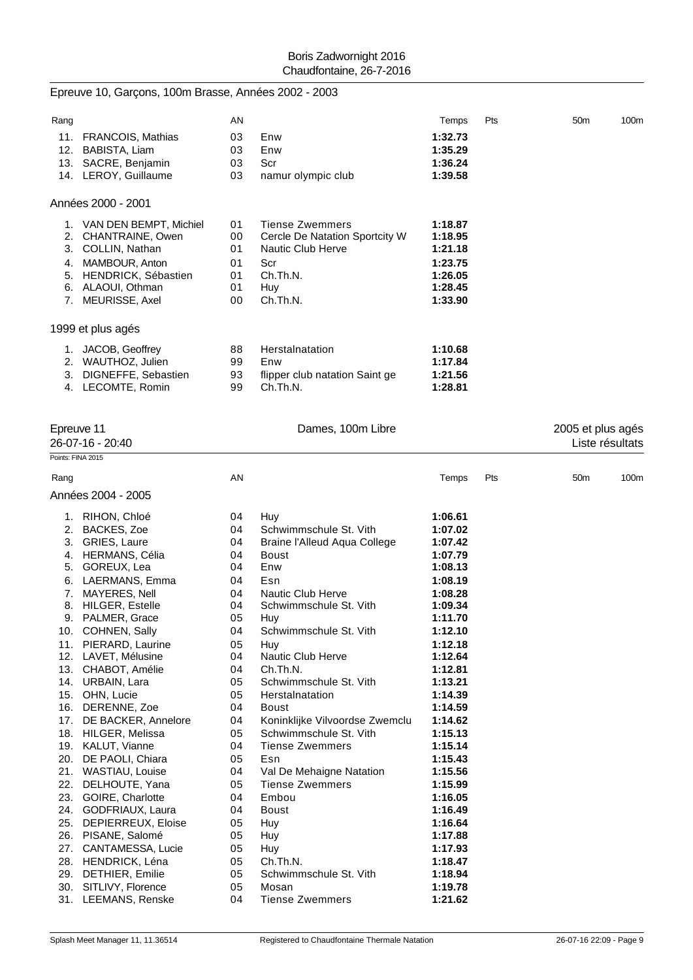|                   | Epreuve 10, Garçons, 100m Brasse, Années 2002 - 2003 |          |                                |                    |     |                                      |      |
|-------------------|------------------------------------------------------|----------|--------------------------------|--------------------|-----|--------------------------------------|------|
| Rang              |                                                      | AN       |                                | Temps              | Pts | 50 <sub>m</sub>                      | 100m |
|                   | 11. FRANCOIS, Mathias                                | 03       | Enw                            | 1:32.73            |     |                                      |      |
|                   | 12. BABISTA, Liam                                    | 03       | Enw                            | 1:35.29            |     |                                      |      |
|                   | 13. SACRE, Benjamin                                  | 03       | Scr                            | 1:36.24            |     |                                      |      |
|                   | 14. LEROY, Guillaume                                 | 03       | namur olympic club             | 1:39.58            |     |                                      |      |
|                   | Années 2000 - 2001                                   |          |                                |                    |     |                                      |      |
|                   | 1. VAN DEN BEMPT, Michiel                            | 01       | <b>Tiense Zwemmers</b>         | 1:18.87            |     |                                      |      |
|                   | 2. CHANTRAINE, Owen                                  | 00       | Cercle De Natation Sportcity W | 1:18.95            |     |                                      |      |
|                   | 3. COLLIN, Nathan                                    | 01       | Nautic Club Herve              | 1:21.18            |     |                                      |      |
|                   | 4. MAMBOUR, Anton                                    | 01       | Scr                            | 1:23.75            |     |                                      |      |
|                   | 5. HENDRICK, Sébastien                               | 01       | Ch.Th.N.                       | 1:26.05            |     |                                      |      |
|                   | 6. ALAOUI, Othman                                    | 01       | Huy                            | 1:28.45            |     |                                      |      |
|                   | 7. MEURISSE, Axel                                    | 00       | Ch.Th.N.                       | 1:33.90            |     |                                      |      |
|                   | 1999 et plus agés                                    |          |                                |                    |     |                                      |      |
|                   | 1. JACOB, Geoffrey                                   | 88       | Herstalnatation                | 1:10.68            |     |                                      |      |
|                   | 2. WAUTHOZ, Julien                                   | 99       | Enw                            | 1:17.84            |     |                                      |      |
| 3.                | DIGNEFFE, Sebastien                                  | 93       | flipper club natation Saint ge | 1:21.56            |     |                                      |      |
|                   | 4. LECOMTE, Romin                                    | 99       | Ch.Th.N.                       | 1:28.81            |     |                                      |      |
|                   |                                                      |          |                                |                    |     |                                      |      |
|                   | Epreuve 11<br>26-07-16 - 20:40                       |          | Dames, 100m Libre              |                    |     | 2005 et plus agés<br>Liste résultats |      |
| Points: FINA 2015 |                                                      |          |                                |                    |     |                                      |      |
| Rang              |                                                      | AN       |                                | Temps              | Pts | 50 <sub>m</sub>                      | 100m |
|                   | Années 2004 - 2005                                   |          |                                |                    |     |                                      |      |
|                   | 1. RIHON, Chloé                                      | 04       | Huy                            | 1:06.61            |     |                                      |      |
|                   | 2. BACKES, Zoe                                       | 04       | Schwimmschule St. Vith         | 1:07.02            |     |                                      |      |
|                   | 3. GRIES, Laure                                      | 04       | Braine l'Alleud Aqua College   | 1:07.42            |     |                                      |      |
|                   | 4. HERMANS, Célia                                    | 04       | Boust                          | 1:07.79            |     |                                      |      |
|                   | 5. GOREUX, Lea                                       | 04       | Enw                            | 1:08.13            |     |                                      |      |
|                   | 6. LAERMANS, Emma                                    | 04       | Esn                            | 1:08.19            |     |                                      |      |
| 7.                | MAYERES, Nell                                        | 04       | Nautic Club Herve              | 1:08.28            |     |                                      |      |
| 8.                | HILGER, Estelle                                      | 04       | Schwimmschule St. Vith         | 1:09.34            |     |                                      |      |
|                   | 9. PALMER, Grace                                     | 05       | Huy                            | 1:11.70            |     |                                      |      |
|                   | 10. COHNEN, Sally                                    | 04       | Schwimmschule St. Vith         | 1:12.10            |     |                                      |      |
| 11.               | PIERARD, Laurine                                     | 05       | Huy                            | 1:12.18            |     |                                      |      |
|                   | 12. LAVET, Mélusine<br>13. CHABOT, Amélie            | 04<br>04 | Nautic Club Herve<br>Ch.Th.N.  | 1:12.64<br>1:12.81 |     |                                      |      |
| 14.               | URBAIN, Lara                                         | 05       | Schwimmschule St. Vith         | 1:13.21            |     |                                      |      |
|                   | 15. OHN, Lucie                                       | 05       | Herstalnatation                | 1:14.39            |     |                                      |      |
| 16.               | DERENNE, Zoe                                         | 04       | <b>Boust</b>                   | 1:14.59            |     |                                      |      |
| 17.               | DE BACKER, Annelore                                  | 04       | Koninklijke Vilvoordse Zwemclu | 1:14.62            |     |                                      |      |
|                   | 18. HILGER, Melissa                                  | 05       | Schwimmschule St. Vith         | 1:15.13            |     |                                      |      |
|                   | 19. KALUT, Vianne                                    | 04       | <b>Tiense Zwemmers</b>         | 1:15.14            |     |                                      |      |
| 20.               | DE PAOLI, Chiara                                     | 05       | Esn                            | 1:15.43            |     |                                      |      |
|                   | 21. WASTIAU, Louise                                  | 04       | Val De Mehaigne Natation       | 1:15.56            |     |                                      |      |
| 22.               | DELHOUTE, Yana                                       | 05       | <b>Tiense Zwemmers</b>         | 1:15.99            |     |                                      |      |
|                   | 23. GOIRE, Charlotte                                 | 04       | Embou                          | 1:16.05            |     |                                      |      |
|                   | 24. GODFRIAUX, Laura                                 | 04       | <b>Boust</b>                   | 1:16.49            |     |                                      |      |
| 25.               | DEPIERREUX, Eloise                                   | 05       | Huy                            | 1:16.64            |     |                                      |      |
|                   | 26. PISANE, Salomé                                   | 05       | Huy                            | 1:17.88            |     |                                      |      |
| 27.               | CANTAMESSA, Lucie                                    | 05       | Huy                            | 1:17.93            |     |                                      |      |
|                   | 28. HENDRICK, Léna                                   | 05       | Ch.Th.N.                       | 1:18.47            |     |                                      |      |
| 29.               | DETHIER, Emilie                                      | 05       | Schwimmschule St. Vith         | 1:18.94            |     |                                      |      |
| 30.               | SITLIVY, Florence                                    | 05       | Mosan                          | 1:19.78            |     |                                      |      |
|                   | 31. LEEMANS, Renske                                  | 04       | <b>Tiense Zwemmers</b>         | 1:21.62            |     |                                      |      |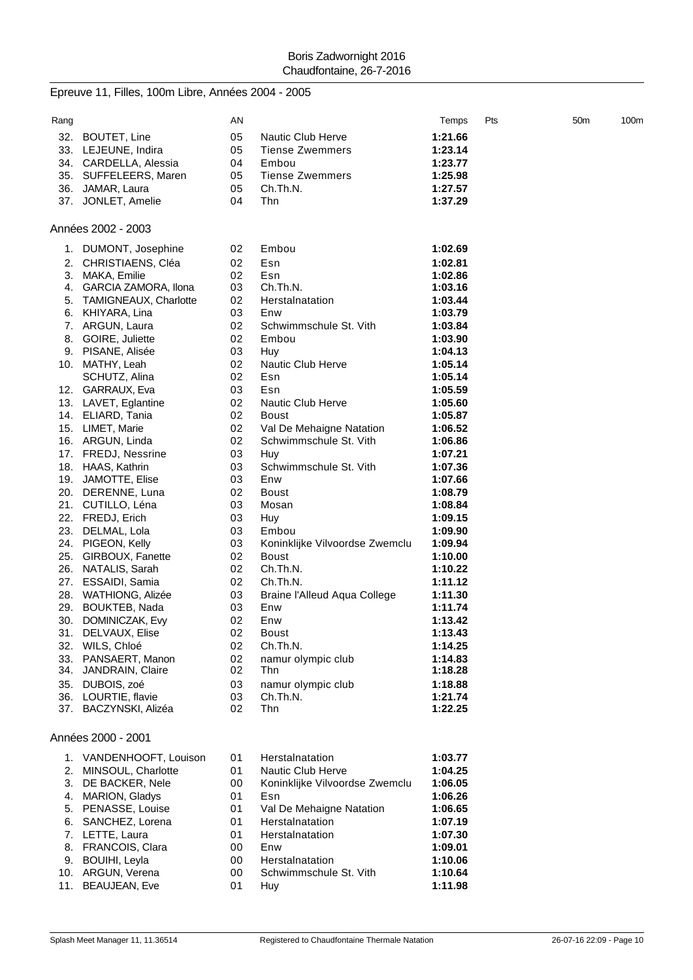|      | Epreuve 11, Filles, 100m Libre, Années 2004 - 2005 |    |                                |         |     |     |                  |
|------|----------------------------------------------------|----|--------------------------------|---------|-----|-----|------------------|
| Rang |                                                    | AN |                                | Temps   | Pts | 50m | 100 <sub>m</sub> |
| 32.  | BOUTET, Line                                       | 05 | <b>Nautic Club Herve</b>       | 1:21.66 |     |     |                  |
|      | 33. LEJEUNE, Indira                                | 05 | <b>Tiense Zwemmers</b>         | 1:23.14 |     |     |                  |
|      | 34. CARDELLA, Alessia                              | 04 | Embou                          | 1:23.77 |     |     |                  |
|      | 35. SUFFELEERS, Maren                              | 05 | <b>Tiense Zwemmers</b>         | 1:25.98 |     |     |                  |
|      | 36. JAMAR, Laura                                   | 05 | Ch.Th.N.                       | 1:27.57 |     |     |                  |
|      | 37. JONLET, Amelie                                 | 04 | Thn                            | 1:37.29 |     |     |                  |
|      | Années 2002 - 2003                                 |    |                                |         |     |     |                  |
|      | 1. DUMONT, Josephine                               | 02 | Embou                          | 1:02.69 |     |     |                  |
| 2.   | CHRISTIAENS, Cléa                                  | 02 | Esn                            | 1:02.81 |     |     |                  |
|      | 3. MAKA, Emilie                                    | 02 | Esn                            | 1:02.86 |     |     |                  |
|      | 4. GARCIA ZAMORA, Ilona                            | 03 | Ch.Th.N.                       | 1:03.16 |     |     |                  |
|      | 5. TAMIGNEAUX, Charlotte                           | 02 | Herstalnatation                | 1:03.44 |     |     |                  |
|      | 6. KHIYARA, Lina                                   | 03 | Enw                            | 1:03.79 |     |     |                  |
|      | 7. ARGUN, Laura                                    | 02 | Schwimmschule St. Vith         | 1:03.84 |     |     |                  |
|      | 8. GOIRE, Juliette                                 | 02 | Embou                          | 1:03.90 |     |     |                  |
|      | 9. PISANE, Alisée                                  | 03 | Huy                            | 1:04.13 |     |     |                  |
|      | 10. MATHY, Leah                                    | 02 | Nautic Club Herve              | 1:05.14 |     |     |                  |
|      | SCHUTZ, Alina                                      | 02 | Esn                            | 1:05.14 |     |     |                  |
|      | 12. GARRAUX, Eva                                   | 03 | Esn                            | 1:05.59 |     |     |                  |
|      | 13. LAVET, Eglantine                               | 02 | Nautic Club Herve              | 1:05.60 |     |     |                  |
|      | 14. ELIARD, Tania                                  | 02 | <b>Boust</b>                   | 1:05.87 |     |     |                  |
|      | 15. LIMET, Marie                                   | 02 | Val De Mehaigne Natation       | 1:06.52 |     |     |                  |
|      | 16. ARGUN, Linda                                   | 02 | Schwimmschule St. Vith         | 1:06.86 |     |     |                  |
|      | 17. FREDJ, Nessrine                                | 03 | Huy                            | 1:07.21 |     |     |                  |
|      | 18. HAAS, Kathrin                                  | 03 | Schwimmschule St. Vith         | 1:07.36 |     |     |                  |
|      | 19. JAMOTTE, Elise                                 | 03 | Enw                            | 1:07.66 |     |     |                  |
|      | 20. DERENNE, Luna                                  | 02 | <b>Boust</b>                   | 1:08.79 |     |     |                  |
|      | 21. CUTILLO, Léna                                  | 03 | Mosan                          | 1:08.84 |     |     |                  |
|      | 22. FREDJ, Erich                                   | 03 | Huy                            | 1:09.15 |     |     |                  |
|      | 23. DELMAL, Lola                                   | 03 | Embou                          | 1:09.90 |     |     |                  |
|      | 24. PIGEON, Kelly                                  | 03 | Koninklijke Vilvoordse Zwemclu | 1:09.94 |     |     |                  |
|      | 25. GIRBOUX, Fanette                               | 02 | <b>Boust</b>                   | 1:10.00 |     |     |                  |
|      | 26. NATALIS, Sarah                                 | 02 | Ch.Th.N.                       | 1:10.22 |     |     |                  |
| 27.  | ESSAIDI, Samia                                     | 02 | Ch.Th.N.                       | 1:11.12 |     |     |                  |
| 28.  | WATHIONG, Alizée                                   | 03 | Braine l'Alleud Aqua College   | 1:11.30 |     |     |                  |
|      | 29. BOUKTEB, Nada                                  | 03 | Enw                            | 1:11.74 |     |     |                  |
|      | 30. DOMINICZAK, Evy                                | 02 | Enw                            | 1:13.42 |     |     |                  |
|      | 31. DELVAUX, Elise                                 | 02 | <b>Boust</b>                   | 1:13.43 |     |     |                  |
|      | 32. WILS, Chloé                                    | 02 | Ch.Th.N.                       | 1:14.25 |     |     |                  |
|      | 33. PANSAERT, Manon                                | 02 | namur olympic club             | 1:14.83 |     |     |                  |
|      | 34. JANDRAIN, Claire                               | 02 | Thn                            | 1:18.28 |     |     |                  |
|      | 35. DUBOIS, zoé                                    | 03 | namur olympic club             | 1:18.88 |     |     |                  |
|      | 36. LOURTIE, flavie                                | 03 | Ch.Th.N.                       | 1:21.74 |     |     |                  |
|      | 37. BACZYNSKI, Alizéa                              | 02 | Thn                            | 1:22.25 |     |     |                  |
|      | Années 2000 - 2001                                 |    |                                |         |     |     |                  |
|      | 1. VANDENHOOFT Louison 01 Herstalnatation          |    |                                | 1:03.77 |     |     |                  |
|      |                                                    |    |                                |         |     |     |                  |

|    | 1. VANDENHOOFT, Louison | 01 | Herstalnatation                | 1:03.77 |
|----|-------------------------|----|--------------------------------|---------|
| 2. | MINSOUL, Charlotte      | 01 | <b>Nautic Club Herve</b>       | 1:04.25 |
| 3. | DE BACKER, Nele         | 00 | Koninklijke Vilvoordse Zwemclu | 1:06.05 |
| 4. | <b>MARION, Gladys</b>   | 01 | Esn                            | 1:06.26 |
|    | 5. PENASSE, Louise      | 01 | Val De Mehaigne Natation       | 1:06.65 |
|    | 6. SANCHEZ, Lorena      | 01 | Herstalnatation                | 1:07.19 |
|    | 7. LETTE, Laura         | 01 | Herstalnatation                | 1:07.30 |
|    | 8. FRANCOIS, Clara      | 00 | Enw                            | 1:09.01 |
| 9. | BOUIHI, Leyla           | 00 | Herstalnatation                | 1:10.06 |
|    | 10. ARGUN, Verena       | 00 | Schwimmschule St. Vith         | 1:10.64 |
|    | 11. BEAUJEAN, Eve       | 01 | Huy                            | 1:11.98 |
|    |                         |    |                                |         |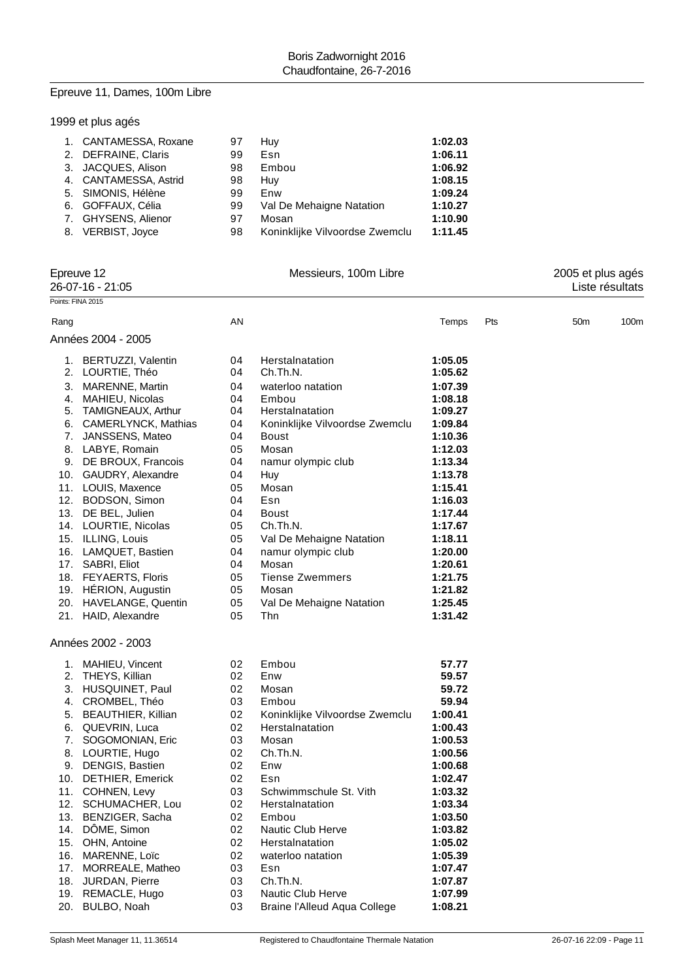## Epreuve 11, Dames, 100m Libre

| 1999 et plus agés |  |  |  |  |  |  |
|-------------------|--|--|--|--|--|--|
|-------------------|--|--|--|--|--|--|

| 1. CANTAMESSA, Roxane | 97 | Huy                            | 1:02.03 |
|-----------------------|----|--------------------------------|---------|
| 2. DEFRAINE, Claris   | 99 | Esn                            | 1:06.11 |
| 3. JACQUES, Alison    | 98 | Embou                          | 1:06.92 |
| 4. CANTAMESSA, Astrid | 98 | Huv                            | 1:08.15 |
| 5. SIMONIS, Hélène    | 99 | Enw                            | 1:09.24 |
| 6. GOFFAUX, Célia     | 99 | Val De Mehaigne Natation       | 1:10.27 |
| 7. GHYSENS, Alienor   | 97 | Mosan                          | 1:10.90 |
| 8. VERBIST, Joyce     | 98 | Koninklijke Vilvoordse Zwemclu | 1:11.45 |
|                       |    |                                |         |

| Epreuve 12<br>26-07-16 - 21:05<br>Points: FINA 2015 |                        | Messieurs, 100m Libre |                                |         |     | 2005 et plus agés<br>Liste résultats |      |  |
|-----------------------------------------------------|------------------------|-----------------------|--------------------------------|---------|-----|--------------------------------------|------|--|
|                                                     |                        |                       |                                |         |     |                                      |      |  |
|                                                     |                        |                       |                                |         |     |                                      |      |  |
| Rang                                                |                        | AN                    |                                | Temps   | Pts | 50 <sub>m</sub>                      | 100m |  |
|                                                     | Années 2004 - 2005     |                       |                                |         |     |                                      |      |  |
|                                                     | 1. BERTUZZI, Valentin  | 04                    | Herstalnatation                | 1:05.05 |     |                                      |      |  |
|                                                     | 2. LOURTIE, Théo       | 04                    | Ch.Th.N.                       | 1:05.62 |     |                                      |      |  |
| 3.                                                  | <b>MARENNE, Martin</b> | 04                    | waterloo natation              | 1:07.39 |     |                                      |      |  |
|                                                     | 4. MAHIEU, Nicolas     | 04                    | Embou                          | 1:08.18 |     |                                      |      |  |
|                                                     | 5. TAMIGNEAUX, Arthur  | 04                    | Herstalnatation                | 1:09.27 |     |                                      |      |  |
|                                                     | 6. CAMERLYNCK, Mathias | 04                    | Koninklijke Vilvoordse Zwemclu | 1:09.84 |     |                                      |      |  |
|                                                     | 7. JANSSENS, Mateo     | 04                    | <b>Boust</b>                   | 1:10.36 |     |                                      |      |  |
|                                                     | 8. LABYE, Romain       | 05                    | Mosan                          | 1:12.03 |     |                                      |      |  |
|                                                     | 9. DE BROUX, Francois  | 04                    | namur olympic club             | 1:13.34 |     |                                      |      |  |
|                                                     | 10. GAUDRY, Alexandre  | 04                    | Huy                            | 1:13.78 |     |                                      |      |  |
|                                                     | 11. LOUIS, Maxence     | 05                    | Mosan                          | 1:15.41 |     |                                      |      |  |
|                                                     | 12. BODSON, Simon      | 04                    | Esn                            | 1:16.03 |     |                                      |      |  |
|                                                     | 13. DE BEL, Julien     | 04                    | <b>Boust</b>                   | 1:17.44 |     |                                      |      |  |
|                                                     | 14. LOURTIE, Nicolas   | 05                    | Ch.Th.N.                       | 1:17.67 |     |                                      |      |  |
|                                                     | 15. ILLING, Louis      | 05                    | Val De Mehaigne Natation       | 1:18.11 |     |                                      |      |  |
|                                                     | 16. LAMQUET, Bastien   | 04                    | namur olympic club             | 1:20.00 |     |                                      |      |  |
|                                                     | 17. SABRI, Eliot       | 04                    | Mosan                          | 1:20.61 |     |                                      |      |  |
|                                                     | 18. FEYAERTS, Floris   | 05                    | <b>Tiense Zwemmers</b>         | 1:21.75 |     |                                      |      |  |
|                                                     | 19. HERION, Augustin   | 05                    | Mosan                          | 1:21.82 |     |                                      |      |  |
|                                                     | 20. HAVELANGE, Quentin | 05                    | Val De Mehaigne Natation       | 1:25.45 |     |                                      |      |  |
|                                                     | 21. HAID, Alexandre    | 05                    | Thn                            | 1:31.42 |     |                                      |      |  |
|                                                     | Années 2002 - 2003     |                       |                                |         |     |                                      |      |  |
|                                                     | 1. MAHIEU, Vincent     | 02                    | Embou                          | 57.77   |     |                                      |      |  |
|                                                     | 2. THEYS, Killian      | 02                    | Enw                            | 59.57   |     |                                      |      |  |
|                                                     | 3. HUSQUINET, Paul     | 02                    | Mosan                          | 59.72   |     |                                      |      |  |
|                                                     | 4. CROMBEL, Théo       | 03                    | Embou                          | 59.94   |     |                                      |      |  |
| 5.                                                  | BEAUTHIER, Killian     | 02                    | Koninklijke Vilvoordse Zwemclu | 1:00.41 |     |                                      |      |  |
|                                                     | 6. QUEVRIN, Luca       | 02                    | Herstalnatation                | 1:00.43 |     |                                      |      |  |
| 7.                                                  | SOGOMONIAN, Eric       | 03                    | Mosan                          | 1:00.53 |     |                                      |      |  |
|                                                     | 8. LOURTIE, Hugo       | 02                    | Ch.Th.N.                       | 1:00.56 |     |                                      |      |  |
|                                                     | 9. DENGIS, Bastien     | 02                    | Enw                            | 1:00.68 |     |                                      |      |  |
| 10.                                                 | DETHIER, Emerick       | 02                    | Esn                            | 1:02.47 |     |                                      |      |  |
|                                                     | 11. COHNEN, Levy       | 03                    | Schwimmschule St. Vith         | 1:03.32 |     |                                      |      |  |
|                                                     | 12. SCHUMACHER, Lou    | 02                    | Herstalnatation                | 1:03.34 |     |                                      |      |  |
|                                                     | 13. BENZIGER, Sacha    | 02                    | Embou                          | 1:03.50 |     |                                      |      |  |
|                                                     | 14. DÔME, Simon        | 02                    | <b>Nautic Club Herve</b>       | 1:03.82 |     |                                      |      |  |
|                                                     | 15. OHN, Antoine       | 02                    | Herstalnatation                | 1:05.02 |     |                                      |      |  |
|                                                     | 16. MARENNE, Loïc      | 02                    | waterloo natation              | 1:05.39 |     |                                      |      |  |
| 17.                                                 | MORREALE, Matheo       | 03                    | Esn                            | 1:07.47 |     |                                      |      |  |
|                                                     | 18. JURDAN, Pierre     | 03                    | Ch.Th.N.                       | 1:07.87 |     |                                      |      |  |
|                                                     | 19. REMACLE, Hugo      | 03                    | Nautic Club Herve              | 1:07.99 |     |                                      |      |  |
| 20.                                                 | BULBO, Noah            | 03                    | Braine l'Alleud Aqua College   | 1:08.21 |     |                                      |      |  |